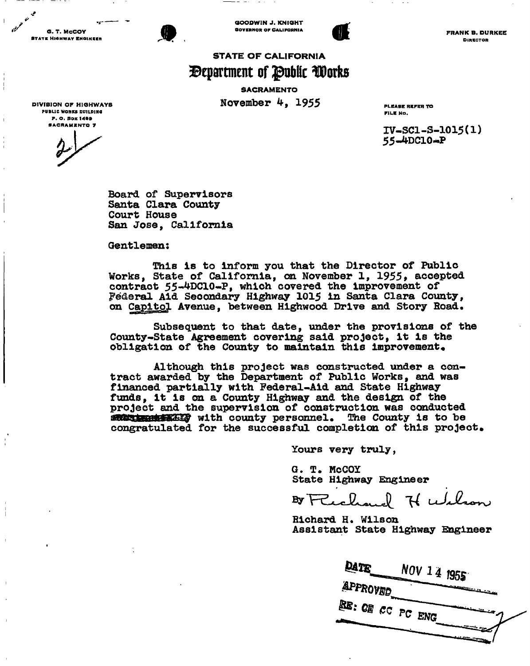G. T. McCOY **STATE HIGHWAY ENGINEER** 



GOODWIN J. KNIGHT **GOVERNOR OF CALIFORNIA** 



FRANK B. DURKEE DIRBCTOR

# **STATE OF CALIFORNIA**  *Bepartment of Public Works*

**SACRAMENTO November 4, 1955** PLEASE REFER TO

FILE No.

**iv-sci-s-ioi5(i)** 

**Board of Supervisors Santa Clara County Court House San Jose, California** 

**Gentlemen:** 

**This is to inform you that the Director of Public Works, State of California, on November 1, 1955» accepted**  contract 55-4DClO-P, which covered the improvement of **Federal Aid Secondary Highway 1015 in Santa Clara County, on Capitol Avenue, between Highwood Drive and Story Road.** 

**Subsequent to that date, under the provisions of the County-State Agreement covering said project, it is the**  obligation of the County to maintain this improvement.

**Although this project was constructed under a contract awarded by the Department of Public Works, and was financed partially with Federal-Aid and State Highway funds, it is on a County Highway and the design of the project and the supervision of construction was conducted with county personnel.** *The* **County is to be congratulated for the successful completion of this project.** 

**Yours very truly,** 

**G. T. McCOY State Highway Engineer** 

H wilson

**Richard H. Wilson Assistant State Highway Knglneer** 

| DATE     | NOV 14 1955      |  |
|----------|------------------|--|
| APPROVED |                  |  |
|          | RE: OF CC PC ENG |  |

DIVISION OP HIGHWAYS PUBLIC WORKS 0U1LDINQ P. O. BOX 1499<br>Sacrawento 7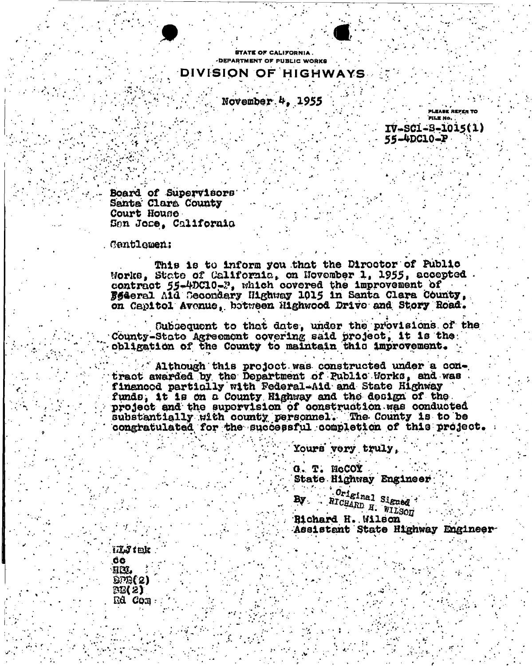

TATE OF CALIFORNIA DEPARTMENT OF PUBLIC WORKS DIVISION OF HIGHWAYS

November  $4.1955$ 

**PLEASE REFER TO FILE NO.**  $IV-SCI-S-1015(1)$ 

55-4DC10-P

Board of Supervisors Santa Clara County Court House Sen Jose, California

## **Centlemen:**

This is to inform you that the Diroctor of Public Morks, State of California, on November 1, 1955, accepted contract 55-4DC10-2, which covered the improvement of Federal Ald Secondary Highway 1015 in Santa Clara County, on Capitol Avenue, between Highwood Drive and Story Road.

Subsequent to that date, under the provisions of the County-State Agreement covering said project, it is the obligation of the County to maintain this improvement.

Although this project was constructed under a contract awarded by the Department of Public Works, and was financed particlly with Federal-Aid and State Highway funds, it is on a County Highway and the design of the project and the supervision of construction was conducted substantially with county personnel. The County is to be congratulated for the successful completion of this project.

Yours very truly,

G. T. NCCOY **State Highway Engineer** 

Original Signed By . RICHARD H. WILSON

Richard H. Wilson Assistant State Highway Engineer

illy fell ĜĠ. HM. **BPB(2)**  $BB(2)$ Rd Com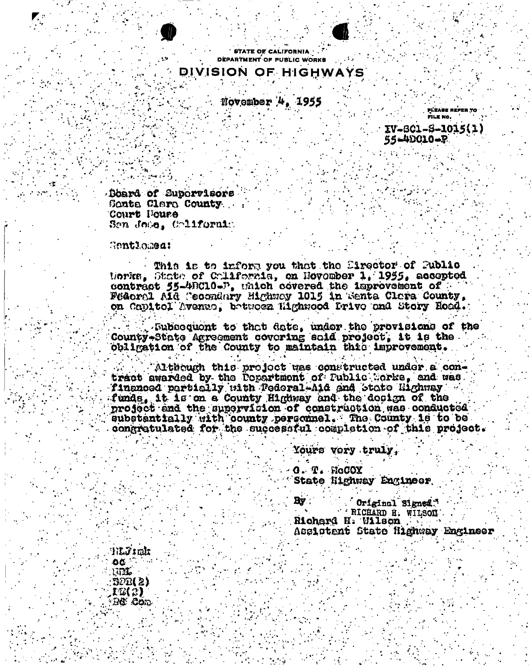



**STATE OF CALIFORNIA** DEPARTMENT OF PUBLIC WORKS

# DIVISION OF HIGHWAYS

November 4, 1955

PLEASE REFER TO FILK No.

IV-801-8-1015(1) 55-40010-P

Doard of Supervisors Sonta Clara County Court Foure Sen Jose, Colifornia

Gentlomea:

This is to inform you that the Sirector of Public tiorits. State of California, on November 1. 1955. accepted contract 55-40010-D, unich covered the improvement of Federal AIG Cecondary Highway 1015 in Senta Clora County, on Capitol Avenue, between Highwood Prive and Story Road.

. Subsequent to that date, under the provisions of the County-State Agreement covering said project, it is the obligation of the County to maintain this improvement.

Although this project was constructed under a contract awarded by the Popertment of Public Corks, and was. financed particily uith Federal-Aid and State Highway funds, it is on a County Highway and the design of the project and the supervision of construction was conducted eubstantially with county personnel. The County is to be congratulated for the successful completion of this project.

Yours vory truly,

 $\mathbf 0.$  T. McCOX State Highway Engineer

 $\mathbf{B}$ y Original Signed. RICHARD H. WILSON Richard N. Wilson Assistant State Highway Engineer

tilly: rit OC. um BOB(2) IB(2) ැහි .Com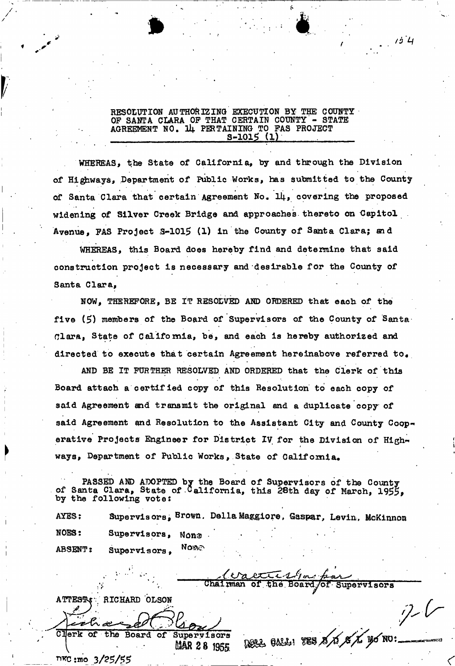# **RESOLUTION AUTHORIZING EXECUTION BY THE COUNTY OP SANTA CLARA OP THAT CERTAIN COUNTY - STATE AGREEMENT NO. U|. PERTAINING TO PAS PROJECT S-1015 (1) .**

\* •

*v /d'lf* 

WHEREAS, the State of California, by and through the Division **of Highways\* Department of Public Works, has submitted to the County**  • • • • • **of Santa Clara that certain Agreement No. II4., covering the proposed widening of Silver Creek Bridge and approaches thereto on Capitol Avenue, PAS Project 3-1015 (1) in the County of Santa Clara; and** 

**WHEREAS, this Board does hereby find and determine that said construction project is necessary and desirable for the County of Santa Clara,** 

**NOW, THEREFORE, BE IT RESOLVED AND ORDERED that each of the five (5) members of the Board of Supervisors of the County of Santa Clara, State of California, be, and each is hereby authorized and**  directed to execute that certain Agreement hereinabove referred to.

**AND BE IT FURTHER RESOLVED AND ORDERED that the Clerk of this Board attach a certified copy of this Resolution to each copy of said Agreement and transmit the original and a duplicate copy of said Agreement and Resolution to the Assistant City and County Cooperative Projects Engineer for District IV for the Division of Highways, Department of Public Works, State of California.** 

**PASSED AND ADOPTED by the Board of Supervisors of the County of Santa Clara, State of California, this 28th day of March, 1955, by the following votes** 

AYES: Supervisors, Brown, Della Maggiore, Gaspar, Levin, McKinnon **NOES:** Supervisors, Non<sup>3</sup> NOWO **ABSENT: Supervisors,** 

 $ext{t-1}$ **. Chairman of the. Board/of Supervisors** 

**\*** *t* **<• ATTE33U' RICHARD OLSON** 

Clerk of the Board of Supervisors (2002, 021, 728, 8 00) **ASM 2 8 1955** 

**™rc:mo 3/?5/55** 

*0 r* 

*9-*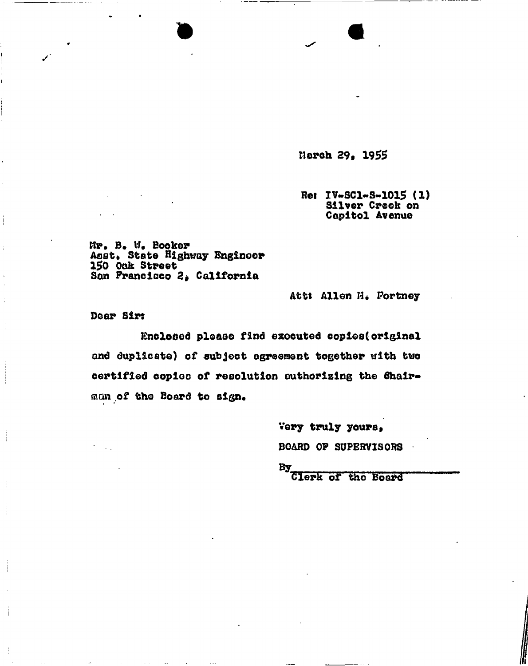**ttarch 29p 1955** 

**Res IV-SC1-S-1015 (1) Silver Creek on Capitol Avenue** 

**Mr. B. W, Booker Asst\* State Highway Engineer 150 Oak Street San Francisco 2, California** 

Att: Allen H. Portney

**Dear Sirs** 

į

**Enclosed please find executed copies(original and duplicate) of subject agreement together with two certified copioo of resolution authorizing the dhair**man of the Board to sign.

> **Very truly yours» BOARD OF SUPERVISORS**

**By tilerk of the Board**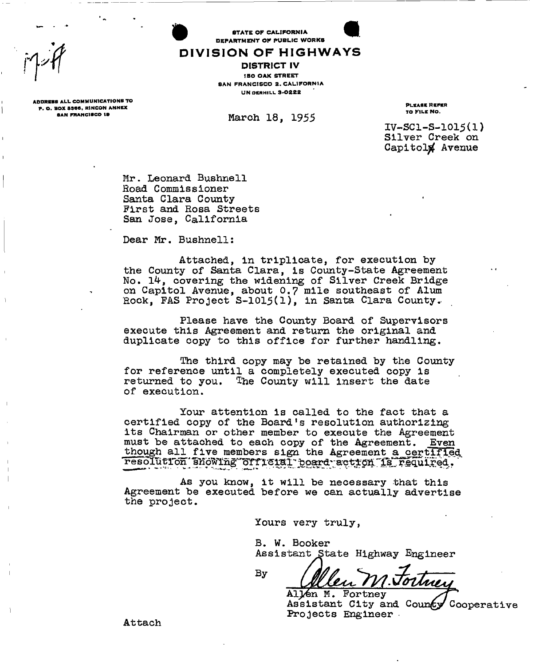*•ft* 

**STATE OF CALIFORNIA** DEPARTMENT OF PUBLIC WORKS

# DIVISION OF HIGHWAYS **DISTRICT IV 180 OAK STREET** SAN FRANCISCO 2. CALIFORNIA

March 18, 1955

**UN DERHILL 3-0222** 

ADDRESS ALL COMMUNICATIONS TO<br>
A RESISTING AND RESISTING TO PLEASE REFER

**iv-sci-s-ioi5(U Silver Creek on Capitolj^ Avenue** 

**Mr. Leonard Bushnell Road Commissioner Santa Clara County-First and Rosa Streets San Jose, California** 

**Dear Mr. Bushnell:** 

**Attached, in triplicate, for execution by the County of Santa Clara, is County-State Agreement No. covering the widening of Silver Creek Bridge on Capitol Avenue, about 0.7 mile southeast of Alum Rock, FAS Project S-1015(l), in Santa Clara County..** 

**Please have the County Board of Supervisors execute this Agreement and return the original and duplicate copy to this office for further handling.** 

**The third copy may be retained by the County for reference until a completely executed copy is returned to you. The County will insert the date of execution.** 

**Your attention is called to the fact that a certified copy of the Board's resolution authorizing its Chairman or other member to execute the Agreement must be attached to each copy of the Agreement. Even though all five members sign the Agreement a certified**   $r$ esolution showing official poard action is required.

**As you know, it will be necessary that this Agreement be executed before we can actually advertise the project.** 

 $\mathbf{B}\mathbf{y}$ 

**Yours very truly,** 

**B. W. Booker Assistant State Highway Engineer** 

**A1^6n M. Fortney**  Assistant City and County Cooperative **Projects Engineer** 

P . O . BOX 8346 1 RINCON ANNEX PLEASE REFER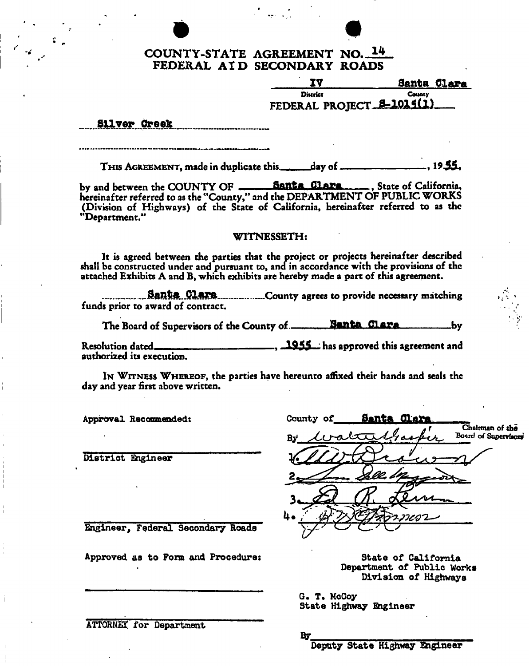# COUNTY-STATE AGREEMENT NO. 14 FEDERAL AI D SECONDARY ROADS

|                           | Santa Clara   |
|---------------------------|---------------|
| District                  | <b>County</b> |
| FEDERAL PROJECT 5-1015(1) |               |

Silver Greek

THI S AGREEMENT, made in duplicate this.. jday of **, 1935\*** 

by and between the COUNTY OF **Santa flltfa** , State of California\* hereinafter referred to as the "County," and the DEPARTMENT OF PUBLIC WORKS (Division of Highways) of the State of California, hereinafter referred to as the "Department."

# WITNESSETH:

It is agreed between the parties that the project or projects hereinafter described shall be constructed under and pursuant to, and in accordance with the provisions of the attached Exhibits A and B, which exhibits are hereby made a part of this agreement.

**Banta Clara** County agrees to provide necessary matching funds prior to award of contract.

The Board of Supervisors of the County of **500 Santa Clara ----------------**--by

Resolution dated. authorized its execution. 1955 has approved this agreement and

IN WITNESS WHEREOF, the parties have hereunto affixed their hands and seals the day and year first above written.

Approval Recommended;

District Engineer

 $By$   $tvalting$ Board of Supervisors<sup>\*</sup>

State of California Department of Public Works Division of Highways

**Chairman of** tha

G. T. McCoy-State Highway Engineer

County of **Santa Clai** 

Engineer, Federal Secondary Roads

Approved as to Fora and Procedure;

ATTORNEY for Department

**By** 

Deputy State Highway Engineer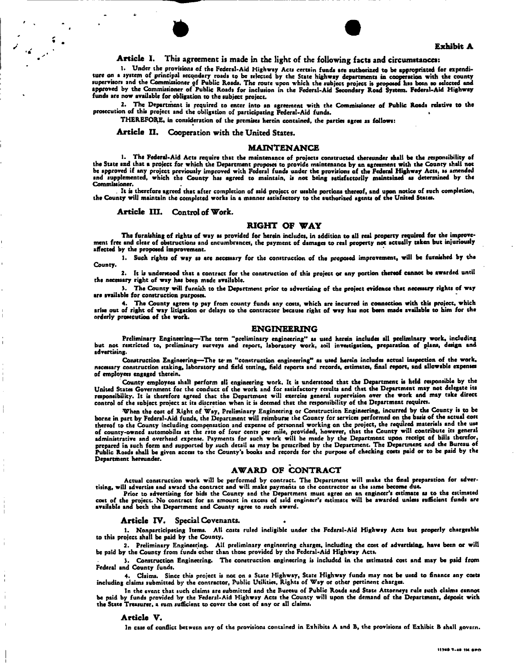



## **Article I.** This agreement **is** made in the light of the following facts and circumstances:

1. Under the provisions of the Federal-Aid Highway Acts certain funds are authorized to be appropriated for expenditure on a system of principal secondary roads to be selected by the State highway departments in cooperation with the county<br>supervisors and the Commissioner of Public Roads. The route upon which the subject project is pro approved by the Commissioner of Public Roads for inclusion in the Federal-Aid Secondary Road System. Federal-Aid Highway funds are now available for obligation to the subject project.

2. The Department is required to enter into an agreement with the Commissioner of Public Roada relative to the prosecution of this project and the obligation of participating Federal-Aid funds.

THEREFORE, in consideration of the premises herein contained, the parties agree as follows:

**Article II.** Cooperation with the United States.

#### **MAINTENANCE**

1. The Federal-Aid Acts require that the maintenance of projects constructed thereunder shall be the responsibility of the State and that a project for which the Department proposes to provide maintenance by an agreement with the County shall not be approved if any project previously improved with Federal funds under the provisions of the Federal Highway Acts, as amended and supplemented, which the County has agreed to maintain, is not being satisfactorily maintained as determined by the Commissioner.

. It is therefore agreed that after completion of said project or usable portions thereof, and upon notice of such completion,<br>the County will maintain the completed works in a manner satisfactory to the authorized agents

#### **Article III.** Control of **Work.**

#### **RIGHT OF WAY**

The furnishing of rights of way as provided for herein includes, in addition to all real property required for the improvement free and clear of obstructions and encumbrances, the payment of damages to real property not actually taken but injuriously affected by the proposed improvement.

1. Such rights of way as are necessary for the construction of the proposed improvement, will be furnished by the County.

2. It is understood that a contract for the construction of this project or any portion thereof cannot be awarded until the necessary right of way has been made available.

). The County will furnish to the Department prior to advertising of the project evidence that necessary rights of way are available for construction purposes.

4. The County agrees tp pay from county funds any costs, which are incurred in connection with this project, which arise out of right of way litigation or delays to the contractor because right of way has not been made available to him for the orderly prosecution of the work.

#### **ENGINEERING**

Preliminary Engineering—The term "preliminary engineering" as used herein includes all preliminary work, including<br>but not restricted to, preliminary surveys and report, laboratory work, soil investigation, preparation of advertising.

Construction Engineering—The te- m "construction engineering" as used herein includes actual inspection of the work, necessary construction staking, laboratory and field testing, field reports and records, estimates, final report, and allowable expenses of employees engaged therein.

County employees shall perform all engineering work. It is understood that the Department is held responsible by the United States Government for the conduct of the work and for satisfactory results and that the Department may not delegate its responsibility. It is therefore agreed that the Department will exercise general supervision over the work and may take direct control of the subject project at its discretion when it is deemed that the responsibility of the Department requires.

When the cost of Right of Way, Preliminary Engineering or Construction Engineering, incurred by the County is to be borne in part by Federal-Aid funds, the Department will reimburse the County for services performed on the basis of the actual cost thereof to the County including compensation and expense of personnel working on the project, the required materials and the use of county-owned automobiles at the rate of four cents per mile, provided, however, that the County will contribute its general<br>administrative and overhead expense. Payments for such work will be made by the Department upon Department hereunder.

## **AWARD OF CONTRACT**

Actual construction work will be performed by contract. The Department will make the final preparation for advertising, will advertise and award the contract and will make payments to the contractor as the same become due.

Prior to advertising for bids the County and the Department must agree on an engineer's estimate as to the estimated cost of the project. No contract for an amount in excess of said engineer's estimate will be awarded unless sufficient funds are available and both the Department and County agree to such award.

#### Article IV. Special Covenants.

1. Nonparticipating Items. All costs ruled ineligible under the Federal-Aid Highway Acts but properly chargeable to this project shall be paid by the County.

2. Preliminary Engineering. AH preliminary engineering charges, including the cost of advertising, have been or will be paid by the County from funds other than those provided by the Federal-Aid Highway Acts.

). Construction Engineering. The construction engineering is included in the estimated cost and may be paid from Federal and County funds.

4. Claims. Since this project is not on a State Highway, State Highway funds may not be used to finance any costs including claims submitted by the contractor, Public Utilities, Rights of Way or other pertinent charges.

In the event that such claims are submitted and the Bureau of Public Roads and State Attorneys rule such claims cannot be paid by funds provided by the Federal-Aid Highway Acts the County will upon the demand of the Department, deposit with the State Treasurer, a sum sufficient to cover the cost of any or all claims.

#### **Article V.**

In case of conflict between any of the provisions contained in Exhibits A and B, the provisions of Exhibit B shall govern.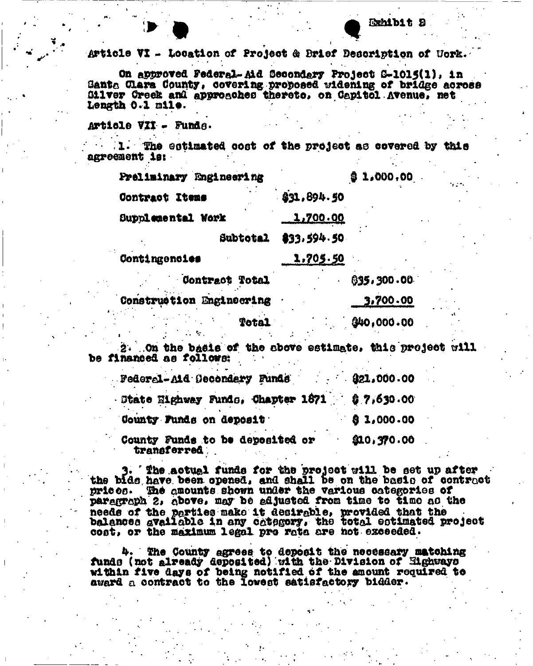# $Article VI - Loostion of Project & Brief Descriptton of York.$

On approved Federal-Aid Secondary Project S-1015(1), in Santa Glare County» covering proposed widening of bridge across Gilver Creek and approaches thereto, on Capitol Avenue, net Length  $0.1$  mile.

Article VZi - Funds.

 $1.$  The estimated cost of the project a© covered by this agreement is:

| Preliminary Engineering  |             | $$1,000,00$ . | ta bina |
|--------------------------|-------------|---------------|---------|
| Contract Items           | \$31,894.50 |               |         |
| Supplemental Work        | 1,700.00    |               |         |
| Subtotal                 | 833,594.50  |               |         |
| Contingencies            | 1,705.50    |               |         |
| Contract Total           |             | 035,300.00    |         |
| Construction Engineering |             | 3,700.00      |         |
| <b>Total</b>             |             | 00.000.00     | ۰,      |

2. On the basis of the above estimate, this project will be financed as follows:

| Federal-Aid Gecondary Funds 321,000.00           |             |
|--------------------------------------------------|-------------|
| State Eighway Funds, Chapter 1871    \$ 7,630.00 |             |
| County Funds on deposit                          | 0.3,000.00  |
| County Funds to be deposited or<br>transferred.  | \$10,370.00 |

3\* The actual funds for the project will be set up after the bids have been, opened, and shall Be on the baslo of contract prices. amounts shown unaer the various categories of paragraph 2, above, may be adjusted from time to time as the needs of the parties make it desirable, provided that the balances available in any category, the total eotimated project cost, or the maximum legal pro rota are hot exceeded.

The County agrees to deposit the neoessary matching funds (not already deposited) with the Division of Highways within five days of being notified of the amount required to award a contract to the lowest satiefactory bidder.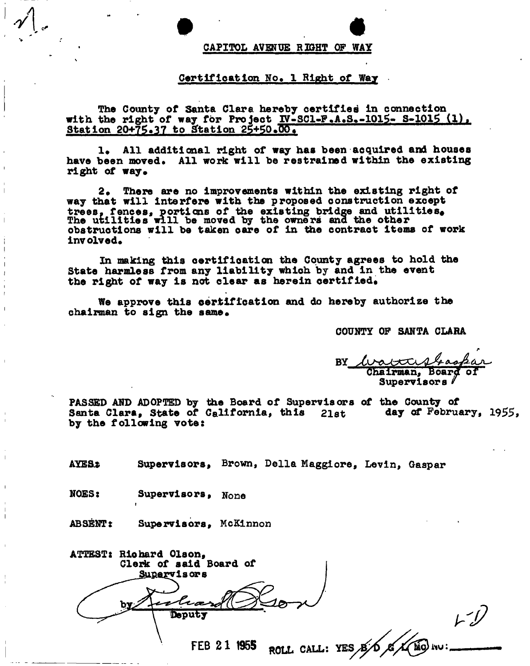### **CAPITOL AVENUE RIGHT OP WAY**

## **Certification No. 1 Right of Way**

**The County of Santa Clara hereby certified in connection**  with the right of way for Project IV-SCl-F.A.S.-1015- S-1015 (1). Station 20+75.37 to Station 25+50.00.

1. All additional right of way has been acquired and houses have been moved. All work will be restrained within the existing **right of way.** 

**2. There are no improvements within the existing right of way that will interfere with the proposed construction except**  trees, fences, portions of the existing bridge and utilities. **The utilities will be moved by the owners ana the other obstructions will be taken care of in the contract items of work involved.** 

**In making this certifioation the County agrees to hold the State harmless from any liability which by and in the event**  the right of way is not clear as herein certified.

**We approve this certification and do hereby authorize the**  chairman to sign the same.

COUNTY OF SANTA CLARA

**BY BY— Chairman, Board** Supervisors  $\ell$ 

**Supervisors PASSED AND ADOPTED by the Board of Supervisors of the County of**  Santa Clara, State of California, this 21st day of February, 1955, **by the following vote:** 

AYES.: Supervisors, Brown, Della Maggiore, Levin, Gaspar

**NOES: Supervisors, None** 

•

ABSENT: Supervisors, McKinnon

ATTEST: Richard Olson, **Cleric of said Board of lsors**  r træ *b -j?*  Deputy  $B/D$   $B$   $A$   $B$   $W$ **FEB 2 1 1955** ROLL CALL: YES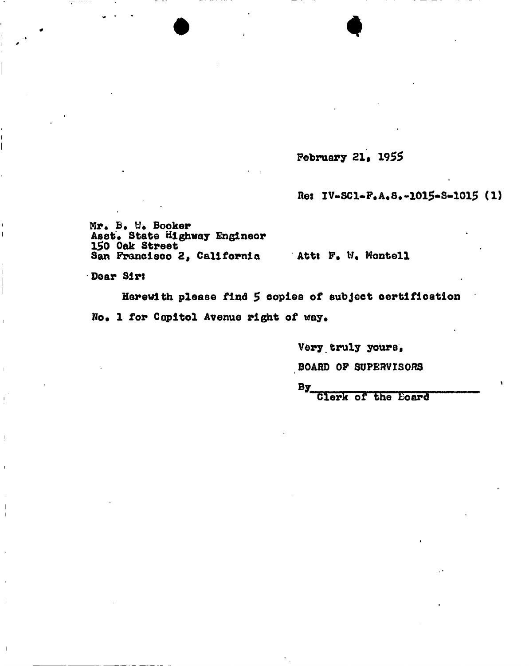February 21, 1955

Re: IV-SC1-F.A.S.-1015-S-1015 (1)

Mr. B. W. Booker<br>Asst. State Highway Engineer 150 Oak Street San Francisco 2, California

Att: F. W. Montell

Dear Sirt

Herewith please find 5 copies of subject certification No. 1 for Capitol Avenue right of way.

Very truly yours,

BOARD OF SUPERVISORS

 $By$ 

Clerk of the Eoard